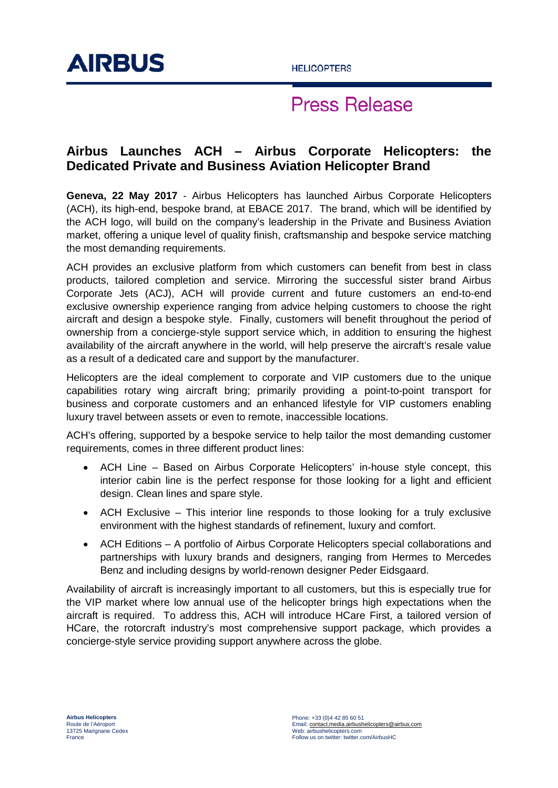

# **Press Release**

### **Airbus Launches ACH – Airbus Corporate Helicopters: the Dedicated Private and Business Aviation Helicopter Brand**

**Geneva, 22 May 2017** - Airbus Helicopters has launched Airbus Corporate Helicopters (ACH), its high-end, bespoke brand, at EBACE 2017. The brand, which will be identified by the ACH logo, will build on the company's leadership in the Private and Business Aviation market, offering a unique level of quality finish, craftsmanship and bespoke service matching the most demanding requirements.

ACH provides an exclusive platform from which customers can benefit from best in class products, tailored completion and service. Mirroring the successful sister brand Airbus Corporate Jets (ACJ), ACH will provide current and future customers an end-to-end exclusive ownership experience ranging from advice helping customers to choose the right aircraft and design a bespoke style. Finally, customers will benefit throughout the period of ownership from a concierge-style support service which, in addition to ensuring the highest availability of the aircraft anywhere in the world, will help preserve the aircraft's resale value as a result of a dedicated care and support by the manufacturer.

Helicopters are the ideal complement to corporate and VIP customers due to the unique capabilities rotary wing aircraft bring; primarily providing a point-to-point transport for business and corporate customers and an enhanced lifestyle for VIP customers enabling luxury travel between assets or even to remote, inaccessible locations.

ACH's offering, supported by a bespoke service to help tailor the most demanding customer requirements, comes in three different product lines:

- ACH Line Based on Airbus Corporate Helicopters' in-house style concept, this interior cabin line is the perfect response for those looking for a light and efficient design. Clean lines and spare style.
- ACH Exclusive This interior line responds to those looking for a truly exclusive environment with the highest standards of refinement, luxury and comfort.
- ACH Editions A portfolio of Airbus Corporate Helicopters special collaborations and partnerships with luxury brands and designers, ranging from Hermes to Mercedes Benz and including designs by world-renown designer Peder Eidsgaard.

Availability of aircraft is increasingly important to all customers, but this is especially true for the VIP market where low annual use of the helicopter brings high expectations when the aircraft is required. To address this, ACH will introduce HCare First, a tailored version of HCare, the rotorcraft industry's most comprehensive support package, which provides a concierge-style service providing support anywhere across the globe.